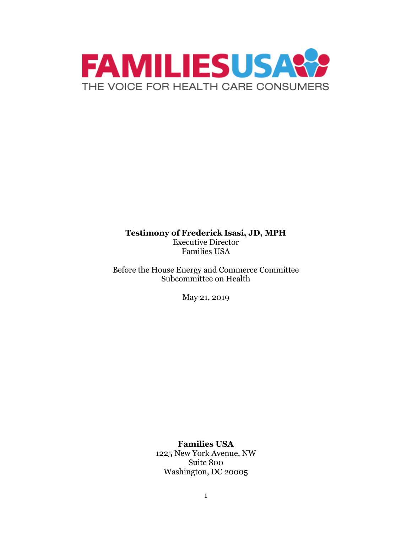

#### **Testimony of Frederick Isasi, JD, MPH** Executive Director Families USA

Before the House Energy and Commerce Committee Subcommittee on Health

May 21, 2019

**Families USA** 1225 New York Avenue, NW Suite 800 Washington, DC 20005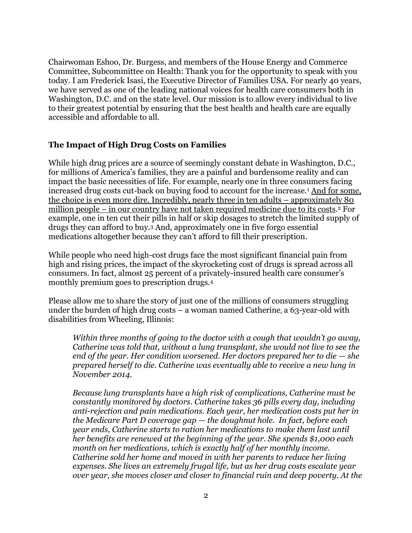Chairwoman Eshoo, Dr. Burgess, and members of the House Energy and Commerce Committee, Subcommittee on Health: Thank you for the opportunity to speak with you today. I am Frederick Isasi, the Executive Director of Families USA. For nearly 40 years, we have served as one of the leading national voices for health care consumers both in Washington, D.C. and on the state level. Our mission is to allow every individual to live to their greatest potential by ensuring that the best health and health care are equally accessible and affordable to all.

#### **The Impact of High Drug Costs on Families**

While high drug prices are a source of seemingly constant debate in Washington, D.C., for millions of America's families, they are a painful and burdensome reality and can impact the basic necessities of life. For example, nearly one in three consumers facing increased drug costs cut-back on buying food to account for the increase.<sup>1</sup> And for some, the choice is even more dire. Incredibly, nearly three in ten adults – approximately 80 million people – in our country have not taken required medicine due to its costs. <sup>2</sup> For example, one in ten cut their pills in half or skip dosages to stretch the limited supply of drugs they can afford to buy.<sup>3</sup> And, approximately one in five forgo essential medications altogether because they can't afford to fill their prescription.

While people who need high-cost drugs face the most significant financial pain from high and rising prices, the impact of the skyrocketing cost of drugs is spread across all consumers. In fact, almost 25 percent of a privately-insured health care consumer's monthly premium goes to prescription drugs.<sup>4</sup>

Please allow me to share the story of just one of the millions of consumers struggling under the burden of high drug costs – a woman named Catherine, a 63-year-old with disabilities from Wheeling, Illinois:

*Within three months of going to the doctor with a cough that wouldn't go away, Catherine was told that, without a lung transplant, she would not live to see the end of the year. Her condition worsened. Her doctors prepared her to die – she prepared herself to die. Catherine was eventually able to receive a new lung in November 2014.* 

*Because lung transplants have a high risk of complications, Catherine must be constantly monitored by doctors. Catherine takes 36 pills every day, including anti-rejection and pain medications. Each year, her medication costs put her in the Medicare Part D coverage gap — the doughnut hole. In fact, before each year ends, Catherine starts to ration her medications to make them last until her benefits are renewed at the beginning of the year. She spends \$1,000 each month on her medications, which is exactly half of her monthly income. Catherine sold her home and moved in with her parents to reduce her living expenses. She lives an extremely frugal life, but as her drug costs escalate year over year, she moves closer and closer to financial ruin and deep poverty. At the*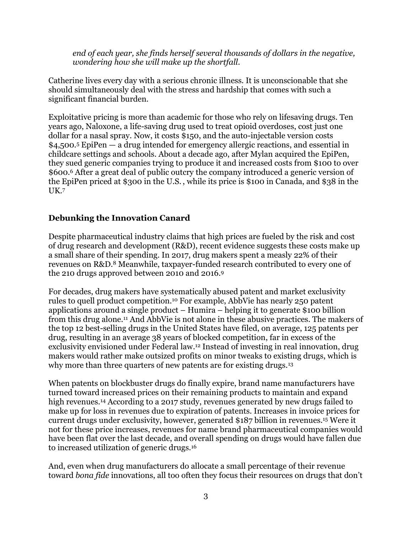*end of each year, she finds herself several thousands of dollars in the negative, wondering how she will make up the shortfall.*

Catherine lives every day with a serious chronic illness. It is unconscionable that she should simultaneously deal with the stress and hardship that comes with such a significant financial burden.

Exploitative pricing is more than academic for those who rely on lifesaving drugs. Ten years ago, Naloxone, a life-saving drug used to treat opioid overdoses, cost just one dollar for a nasal spray. Now, it costs \$150, and the auto-injectable version costs \$4,500.<sup>5</sup> EpiPen — a drug intended for emergency allergic reactions, and essential in childcare settings and schools. About a decade ago, after Mylan acquired the EpiPen, they sued generic companies trying to produce it and increased costs from \$100 to over \$600.<sup>6</sup> After a great deal of public outcry the company introduced a generic version of the EpiPen priced at \$300 in the U.S. , while its price is \$100 in Canada, and \$38 in the  $IJK.7$ 

### **Debunking the Innovation Canard**

Despite pharmaceutical industry claims that high prices are fueled by the risk and cost of drug research and development (R&D), recent evidence suggests these costs make up a small share of their spending. In 2017, drug makers spent a measly 22% of their revenues on R&D.<sup>8</sup> Meanwhile, taxpayer-funded research contributed to every one of the 210 drugs approved between 2010 and 2016.<sup>9</sup>

For decades, drug makers have systematically abused patent and market exclusivity rules to quell product competition.<sup>10</sup> For example, AbbVie has nearly 250 patent applications around a single product – Humira – helping it to generate \$100 billion from this drug alone.<sup>11</sup> And AbbVie is not alone in these abusive practices. The makers of the top 12 best-selling drugs in the United States have filed, on average, 125 patents per drug, resulting in an average 38 years of blocked competition, far in excess of the exclusivity envisioned under Federal law. <sup>12</sup> Instead of investing in real innovation, drug makers would rather make outsized profits on minor tweaks to existing drugs, which is why more than three quarters of new patents are for existing drugs.<sup>13</sup>

When patents on blockbuster drugs do finally expire, brand name manufacturers have turned toward increased prices on their remaining products to maintain and expand high revenues.<sup>14</sup> According to a 2017 study, revenues generated by new drugs failed to make up for loss in revenues due to expiration of patents. Increases in invoice prices for current drugs under exclusivity, however, generated \$187 billion in revenues.<sup>15</sup> Were it not for these price increases, revenues for name brand pharmaceutical companies would have been flat over the last decade, and overall spending on drugs would have fallen due to increased utilization of generic drugs.<sup>16</sup>

And, even when drug manufacturers do allocate a small percentage of their revenue toward *bona fide* innovations, all too often they focus their resources on drugs that don't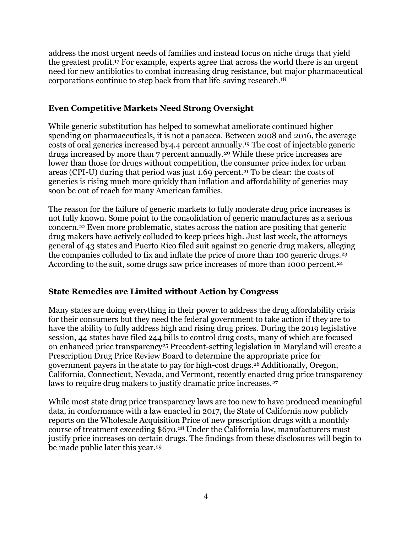address the most urgent needs of families and instead focus on niche drugs that yield the greatest profit.<sup>17</sup> For example, experts agree that across the world there is an urgent need for new antibiotics to combat increasing drug resistance, but major pharmaceutical corporations continue to step back from that life-saving research.<sup>18</sup>

### **Even Competitive Markets Need Strong Oversight**

While generic substitution has helped to somewhat ameliorate continued higher spending on pharmaceuticals, it is not a panacea. Between 2008 and 2016, the average costs of oral generics increased by4.4 percent annually.<sup>19</sup> The cost of injectable generic drugs increased by more than 7 percent annually.<sup>20</sup> While these price increases are lower than those for drugs without competition, the consumer price index for urban areas (CPI-U) during that period was just 1.69 percent.<sup>21</sup> To be clear: the costs of generics is rising much more quickly than inflation and affordability of generics may soon be out of reach for many American families.

The reason for the failure of generic markets to fully moderate drug price increases is not fully known. Some point to the consolidation of generic manufactures as a serious concern.<sup>22</sup> Even more problematic, states across the nation are positing that generic drug makers have actively colluded to keep prices high. Just last week, the attorneys general of 43 states and Puerto Rico filed suit against 20 generic drug makers, alleging the companies colluded to fix and inflate the price of more than 100 generic drugs.<sup>23</sup> According to the suit, some drugs saw price increases of more than 1000 percent.<sup>24</sup>

### **State Remedies are Limited without Action by Congress**

Many states are doing everything in their power to address the drug affordability crisis for their consumers but they need the federal government to take action if they are to have the ability to fully address high and rising drug prices. During the 2019 legislative session, 44 states have filed 244 bills to control drug costs, many of which are focused on enhanced price transparency<sup>25</sup> Precedent-setting legislation in Maryland will create a Prescription Drug Price Review Board to determine the appropriate price for government payers in the state to pay for high-cost drugs.<sup>26</sup> Additionally, Oregon, California, Connecticut, Nevada, and Vermont, recently enacted drug price transparency laws to require drug makers to justify dramatic price increases.<sup>27</sup>

While most state drug price transparency laws are too new to have produced meaningful data, in conformance with a law enacted in 2017, the State of California now publicly reports on the Wholesale Acquisition Price of new prescription drugs with a monthly course of treatment exceeding \$670.<sup>28</sup> Under the California law, manufacturers must justify price increases on certain drugs. The findings from these disclosures will begin to be made public later this year.<sup>29</sup>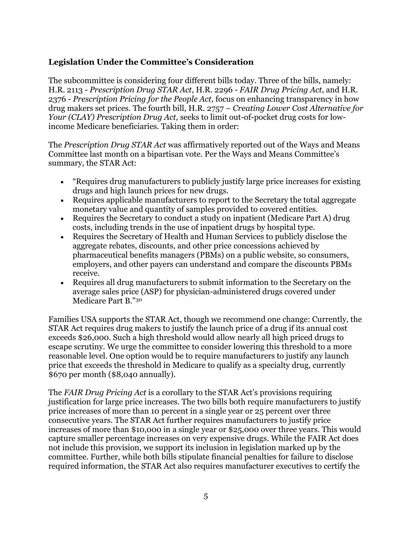### **Legislation Under the Committee's Consideration**

The subcommittee is considering four different bills today. Three of the bills, namely: H.R. 2113 - *Prescription Drug STAR Act*, H.R. 2296 - *FAIR Drug Pricing Act*, and H.R. 2376 - *Prescription Pricing for the People Act,* focus on enhancing transparency in how drug makers set prices. The fourth bill, H.R. 2757 – *Creating Lower Cost Alternative for Your (CLAY) Prescription Drug Act,* seeks to limit out-of-pocket drug costs for lowincome Medicare beneficiaries. Taking them in order:

The *Prescription Drug STAR Act* was affirmatively reported out of the Ways and Means Committee last month on a bipartisan vote. Per the Ways and Means Committee's summary, the STAR Act:

- "Requires drug manufacturers to publicly justify large price increases for existing drugs and high launch prices for new drugs.
- Requires applicable manufacturers to report to the Secretary the total aggregate monetary value and quantity of samples provided to covered entities.
- Requires the Secretary to conduct a study on inpatient (Medicare Part A) drug costs, including trends in the use of inpatient drugs by hospital type.
- Requires the Secretary of Health and Human Services to publicly disclose the aggregate rebates, discounts, and other price concessions achieved by pharmaceutical benefits managers (PBMs) on a public website, so consumers, employers, and other payers can understand and compare the discounts PBMs receive.
- Requires all drug manufacturers to submit information to the Secretary on the average sales price (ASP) for physician-administered drugs covered under Medicare Part B."<sup>30</sup>

Families USA supports the STAR Act, though we recommend one change: Currently, the STAR Act requires drug makers to justify the launch price of a drug if its annual cost exceeds \$26,000. Such a high threshold would allow nearly all high priced drugs to escape scrutiny. We urge the committee to consider lowering this threshold to a more reasonable level. One option would be to require manufacturers to justify any launch price that exceeds the threshold in Medicare to qualify as a specialty drug, currently \$670 per month (\$8,040 annually).

The *FAIR Drug Pricing Act* is a corollary to the STAR Act's provisions requiring justification for large price increases. The two bills both require manufacturers to justify price increases of more than 10 percent in a single year or 25 percent over three consecutive years. The STAR Act further requires manufacturers to justify price increases of more than \$10,000 in a single year or \$25,000 over three years. This would capture smaller percentage increases on very expensive drugs. While the FAIR Act does not include this provision, we support its inclusion in legislation marked up by the committee. Further, while both bills stipulate financial penalties for failure to disclose required information, the STAR Act also requires manufacturer executives to certify the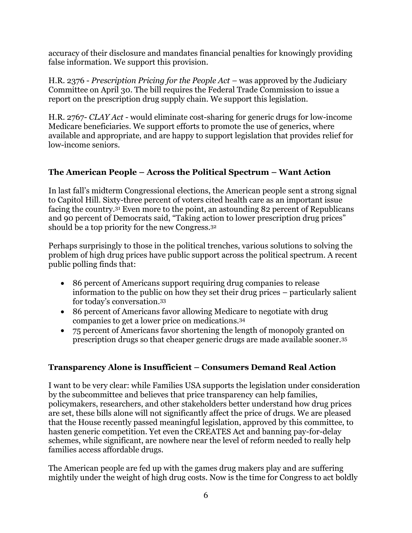accuracy of their disclosure and mandates financial penalties for knowingly providing false information. We support this provision.

H.R. 2376 - *Prescription Pricing for the People Act* – was approved by the Judiciary Committee on April 30. The bill requires the Federal Trade Commission to issue a report on the prescription drug supply chain. We support this legislation.

H.R. 2767- *CLAY Act -* would eliminate cost-sharing for generic drugs for low-income Medicare beneficiaries. We support efforts to promote the use of generics, where available and appropriate, and are happy to support legislation that provides relief for low-income seniors.

# **The American People – Across the Political Spectrum – Want Action**

In last fall's midterm Congressional elections, the American people sent a strong signal to Capitol Hill. Sixty-three percent of voters cited health care as an important issue facing the country.<sup>31</sup> Even more to the point, an astounding 82 percent of Republicans and 90 percent of Democrats said, "Taking action to lower prescription drug prices" should be a top priority for the new Congress.<sup>32</sup>

Perhaps surprisingly to those in the political trenches, various solutions to solving the problem of high drug prices have public support across the political spectrum. A recent public polling finds that:

- 86 percent of Americans support requiring drug companies to release information to the public on how they set their drug prices – particularly salient for today's conversation.<sup>33</sup>
- 86 percent of Americans favor allowing Medicare to negotiate with drug companies to get a lower price on medications.<sup>34</sup>
- 75 percent of Americans favor shortening the length of monopoly granted on prescription drugs so that cheaper generic drugs are made available sooner.<sup>35</sup>

# **Transparency Alone is Insufficient – Consumers Demand Real Action**

I want to be very clear: while Families USA supports the legislation under consideration by the subcommittee and believes that price transparency can help families, policymakers, researchers, and other stakeholders better understand how drug prices are set, these bills alone will not significantly affect the price of drugs. We are pleased that the House recently passed meaningful legislation, approved by this committee, to hasten generic competition. Yet even the CREATES Act and banning pay-for-delay schemes, while significant, are nowhere near the level of reform needed to really help families access affordable drugs.

The American people are fed up with the games drug makers play and are suffering mightily under the weight of high drug costs. Now is the time for Congress to act boldly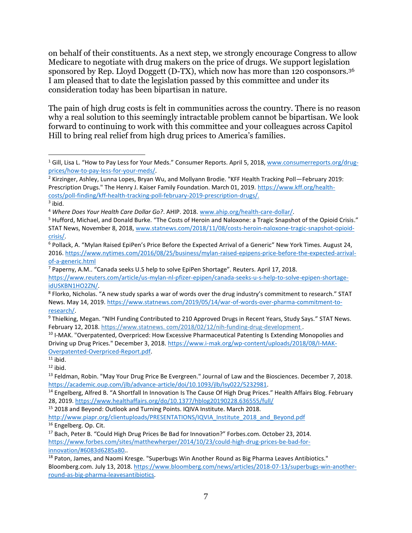on behalf of their constituents. As a next step, we strongly encourage Congress to allow Medicare to negotiate with drug makers on the price of drugs. We support legislation sponsored by Rep. Lloyd Doggett (D-TX), which now has more than 120 cosponsors.<sup>36</sup> I am pleased that to date the legislation passed by this committee and under its consideration today has been bipartisan in nature.

The pain of high drug costs is felt in communities across the country. There is no reason why a real solution to this seemingly intractable problem cannot be bipartisan. We look forward to continuing to work with this committee and your colleagues across Capitol Hill to bring real relief from high drug prices to America's families.

 $\overline{\phantom{a}}$ 

<sup>&</sup>lt;sup>1</sup> Gill, Lisa L. "How to Pay Less for Your Meds." Consumer Reports. April 5, 2018, [www.consumerreports.org/drug](http://www.consumerreports.org/drug-prices/how-to-pay-less-for-your-meds/)[prices/how-to-pay-less-for-your-meds/.](http://www.consumerreports.org/drug-prices/how-to-pay-less-for-your-meds/)

<sup>2</sup> Kirzinger, Ashley, Lunna Lopes, Bryan Wu, and Mollyann Brodie. "KFF Health Tracking Poll—February 2019: Prescription Drugs." The Henry J. Kaiser Family Foundation. March 01, 2019. [https://www.kff.org/health](https://www.kff.org/health-costs/poll-finding/kff-health-tracking-poll-february-2019-prescription-drugs/)[costs/poll-finding/kff-health-tracking-poll-february-2019-prescription-drugs/.](https://www.kff.org/health-costs/poll-finding/kff-health-tracking-poll-february-2019-prescription-drugs/)

 $3$  ibid.

<sup>4</sup> *Where Does Your Health Care Dollar Go?*. AHIP. 2018. [www.ahip.org/health-care-dollar/.](http://www.ahip.org/health-care-dollar/)

<sup>5</sup> Hufford, Michael, and Donald Burke. "The Costs of Heroin and Naloxone: a Tragic Snapshot of the Opioid Crisis." STAT News, November 8, 2018[, www.statnews.com/2018/11/08/costs-heroin-naloxone-tragic-snapshot-opioid](http://www.statnews.com/2018/11/08/costs-heroin-naloxone-tragic-snapshot-opioid-crisis/)[crisis/.](http://www.statnews.com/2018/11/08/costs-heroin-naloxone-tragic-snapshot-opioid-crisis/)

<sup>6</sup> Pollack, A. "Mylan Raised EpiPen's Price Before the Expected Arrival of a Generic" New York Times. August 24, 2016. [https://www.nytimes.com/2016/08/25/business/mylan-raised-epipens-price-before-the-expected-arrival](https://www.nytimes.com/2016/08/25/business/mylan-raised-epipens-price-before-the-expected-arrival-of-a-generic.html)[of-a-generic.html](https://www.nytimes.com/2016/08/25/business/mylan-raised-epipens-price-before-the-expected-arrival-of-a-generic.html)

<sup>7</sup> Paperny, A.M.. "Canada seeks U.S help to solve EpiPen Shortage". Reuters. April 17, 2018. [https://www.reuters.com/article/us-mylan-nl-pfizer-epipen/canada-seeks-u-s-help-to-solve-epipen-shortage](https://www.reuters.com/article/us-mylan-nl-pfizer-epipen/canada-seeks-u-s-help-to-solve-epipen-shortage-idUSKBN1HO2ZN/)[idUSKBN1HO2ZN/.](https://www.reuters.com/article/us-mylan-nl-pfizer-epipen/canada-seeks-u-s-help-to-solve-epipen-shortage-idUSKBN1HO2ZN/)

<sup>&</sup>lt;sup>8</sup> Florko, Nicholas. "A new study sparks a war of words over the drug industry's commitment to research." STAT News. May 14, 2019. [https://www.statnews.com/2019/05/14/war-of-words-over-pharma-commitment-to](https://www.statnews.com/2019/05/14/war-of-words-over-pharma-commitment-to-research/)[research/.](https://www.statnews.com/2019/05/14/war-of-words-over-pharma-commitment-to-research/)

<sup>9</sup> Thielking, Megan. "NIH Funding Contributed to 210 Approved Drugs in Recent Years, Study Says." STAT News. February 12, 2018. https://www.statnews. com/2018/02/12/nih-funding-drug-development .

<sup>&</sup>lt;sup>10</sup> I-MAK. "Overpatented, Overpriced: How Excessive Pharmaceutical Patenting Is Extending Monopolies and Driving up Drug Prices." December 3, 2018[. https://www.i-mak.org/wp-content/uploads/2018/08/I-MAK-](https://www.i-mak.org/wp-content/uploads/2018/08/I-MAK-Overpatented-Overpriced-Report.pdf)[Overpatented-Overpriced-Report.pdf.](https://www.i-mak.org/wp-content/uploads/2018/08/I-MAK-Overpatented-Overpriced-Report.pdf)

 $11$  ibid.

 $12$  ibid.

<sup>&</sup>lt;sup>13</sup> Feldman, Robin. "May Your Drug Price Be Evergreen." Journal of Law and the Biosciences. December 7, 2018. [https://academic.oup.com/jlb/advance-article/doi/10.1093/jlb/lsy022/5232981.](https://academic.oup.com/jlb/advance-article/doi/10.1093/jlb/lsy022/5232981)

<sup>&</sup>lt;sup>14</sup> Engelberg, Alfred B. "A Shortfall In Innovation Is The Cause Of High Drug Prices." Health Affairs Blog. February 28, 2019.<https://www.healthaffairs.org/do/10.1377/hblog20190228.636555/full/>

<sup>15</sup> 2018 and Beyond: Outlook and Turning Points. IQIVA Institute. March 2018.

[http://www.piapr.org/clientuploads/PRESENTATIONS/IQVIA\\_Institute\\_2018\\_and\\_Beyond.pdf](http://www.piapr.org/clientuploads/PRESENTATIONS/IQVIA_Institute_2018_and_Beyond.pdf) <sup>16</sup> Engelberg. Op. Cit.

<sup>17</sup> Bach, Peter B. "Could High Drug Prices Be Bad for Innovation?" Forbes.com. October 23, 2014. [https://www.forbes.com/sites/matthewherper/2014/10/23/could-high-drug-prices-be-bad-for](https://www.forbes.com/sites/matthewherper/2014/10/23/could-high-drug-prices-be-bad-for-innovation/#6083d6285a80)[innovation/#6083d6285a80.](https://www.forbes.com/sites/matthewherper/2014/10/23/could-high-drug-prices-be-bad-for-innovation/#6083d6285a80).

<sup>&</sup>lt;sup>18</sup> Paton, James, and Naomi Kresge. "Superbugs Win Another Round as Big Pharma Leaves Antibiotics." Bloomberg.com. July 13, 2018. [https://www.bloomberg.com/news/articles/2018-07-13/superbugs-win-another](https://www.bloomberg.com/news/articles/2018-07-13/superbugs-win-another-round-as-big-pharma-leavesantibiotics)[round-as-big-pharma-leavesantibiotics.](https://www.bloomberg.com/news/articles/2018-07-13/superbugs-win-another-round-as-big-pharma-leavesantibiotics)